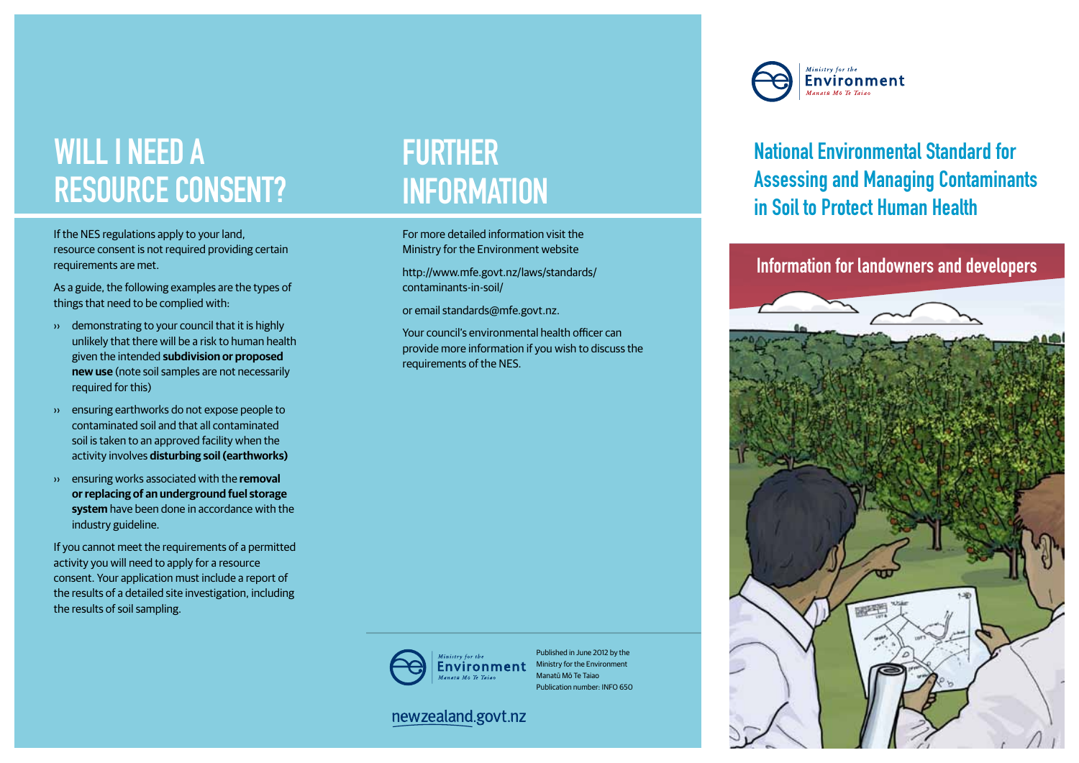# WILL I NEED A resource consent?

If the NES regulations apply to your land, resource consent is not required providing certain requirements are met.

As a guide, the following examples are the types of things that need to be complied with:

- ›› demonstrating to your council that it is highly unlikely that there will be a risk to human health given the intended **subdivision or proposed new use** (note soil samples are not necessarily required for this)
- ›› ensuring earthworks do not expose people to contaminated soil and that all contaminated soil is taken to an approved facility when the activity involves **disturbing soil (earthworks)**
- ›› ensuring works associated with the **removal or replacing of an underground fuel storage system** have been done in accordance with the industry guideline.

If you cannot meet the requirements of a permitted activity you will need to apply for a resource consent. Your application must include a report of the results of a detailed site investigation, including the results of soil sampling.

### **FURTHER INFORMATION**

For more detailed information visit the Ministry for the Environment website

http://www.mfe.govt.nz/laws/standards/ contaminants-in-soil/

or email standards@mfe.govt.nz.

Your council's environmental health officer can provide more information if you wish to discuss the requirements of the NES.



Published in June 2012 by the Ministry for the Environment Manatū Mō Te Taiao Publication number: INFO 650

#### newzealand.govt.nz

Ministry for the Environment

#### National Environmental Standard for Assessing and Managing Contaminants in Soil to Protect Human Health